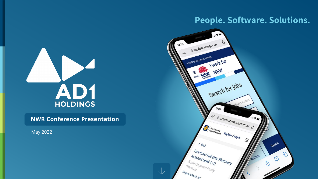### **People. Software. Solutions.**





**NWR Conference Presentation**

May 2022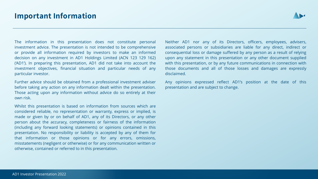

The information in this presentation does not constitute personal investment advice. The presentation is not intended to be comprehensive or provide all information required by investors to make an informed decision on any investment in AD1 Holdings Limited (ACN 123 129 162) ('AD1'). In preparing this presentation, AD1 did not take into account the investment objectives, financial situation and particular needs of any particular investor.

Further advice should be obtained from a professional investment adviser before taking any action on any information dealt within the presentation. Those acting upon any information without advice do so entirely at their own risk.

Whilst this presentation is based on information from sources which are considered reliable, no representation or warranty, express or implied, is made or given by or on behalf of AD1, any of its Directors, or any other person about the accuracy, completeness or fairness of the information (including any forward looking statements) or opinions contained in this presentation. No responsibility or liability is accepted by any of them for that information or those opinions or for any errors, omissions, misstatements (negligent or otherwise) or for any communication written or otherwise, contained or referred to in this presentation.

Neither AD1 nor any of its Directors, officers, employees, advisers, associated persons or subsidiaries are liable for any direct, indirect or consequential loss or damage suffered by any person as a result of relying upon any statement in this presentation or any other document supplied with this presentation, or by any future communications in connection with those documents and all of those losses and damages are expressly disclaimed.

Any opinions expressed reflect AD1's position at the date of this presentation and are subject to change.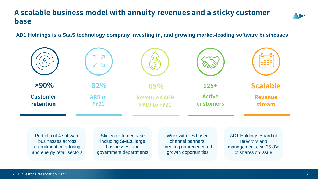### **A scalable business model with annuity revenues and a sticky customer base**

**AD1 Holdings is a SaaS technology company investing in, and growing market-leading software businesses**

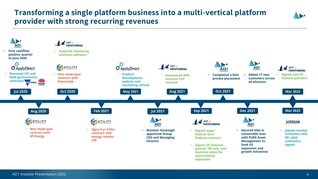### **Transforming a single platform business into a multi-vertical platform provider with strong recurring revenues**

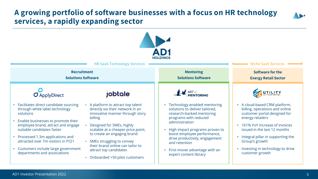### **A growing portfolio of software businesses with a focus on HR technology services, a rapidly expanding sector**

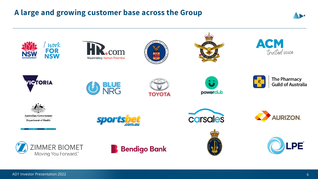## **A large and growing customer base across the Group**



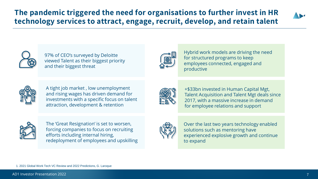## **The pandemic triggered the need for organisations to further invest in HR technology services to attract, engage, recruit, develop, and retain talent**





97% of CEO's surveyed by Deloitte viewed Talent as their biggest priority and their biggest threat



Hybrid work models are driving the need for structured programs to keep employees connected, engaged and productive



A tight job market , low unemployment and rising wages has driven demand for investments with a specific focus on talent attraction, development & retention



+\$33bn invested in Human Capital Mgt, Talent Acquisition and Talent Mgt deals since 2017, with a massive increase in demand for employee relations and support



The 'Great Resignation' is set to worsen, forcing companies to focus on recruiting efforts including internal hiring, redeployment of employees and upskilling



Over the last two years technology enabled solutions such as mentoring have experienced explosive growth and continue to expand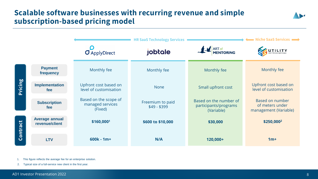### **Scalable software businesses with recurring revenue and simple subscription-based pricing model**



1. This figure reflects the average fee for an enterprise solution.

2. Typical size of a full-service new client in the first year.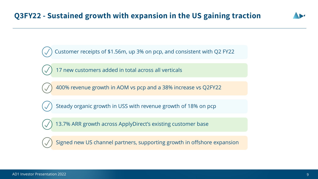Customer receipts of \$1.56m, up 3% on pcp, and consistent with Q2 FY22

17 new customers added in total across all verticals

400% revenue growth in AOM vs pcp and a 38% increase vs Q2FY22

Steady organic growth in USS with revenue growth of 18% on pcp

13.7% ARR growth across ApplyDirect's existing customer base

Signed new US channel partners, supporting growth in offshore expansion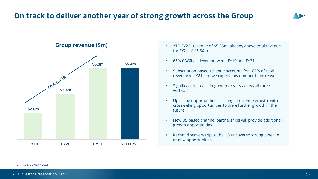### **On track to deliver another year of strong growth across the Group**





- YTD FY22<sup>1</sup> revenue of \$5.35m, already above total revenue for FY21 of \$5.34m
- 65% CAGR achieved between FY19 and FY21
- Subscription-based revenue accounts for ~82% of total revenue in FY21 and we expect this number to increase
- Significant increase in growth drivers across all three verticals
- Upselling opportunities assisting in revenue growth, with cross-selling opportunities to drive further growth in the future
- New US based channel partnerships will provide additional growth opportunities
- Recent discovery trip to the US uncovered strong pipeline of new opportunities

### 1. As at 31 March 2022.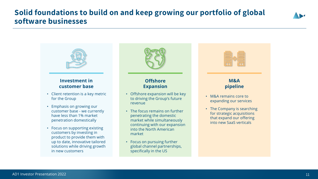### **Solid foundations to build on and keep growing our portfolio of global software businesses**





• Focus on pursuing further global channel partnerships, specifically in the US

in new customers

solutions while driving growth

### AD1 Investor Presentation 2022 **11** AD1 Investor Presentation 2022 **11**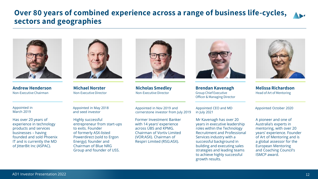### **Over 80 years of combined experience across a range of business life-cycles, sectors and geographies**



**Andrew Henderson** Non-Executive Chairman

**Michael Norster** Non-Executive Director

Appointed in March 2019

Has over 20 years of experience in technology products and services businesses – having founded and sold Phoenix IT and is currently the MD of JitterBit Inc (ASPAC).



Highly successful entrepreneur from start-ups to exits. Founder of formerly ASX-listed Powerdirect (sold to Ergon Energy); founder and Chairman of Blue NRG Group and founder of USS.



**Nicholas Smedley** Non-Executive Director

Appointed in Nov 2019 and cornerstone investor from July 2019

Former Investment Banker with 14 years' experience across UBS and KPMG. Chairman of Vortiv Limited (VOR:ASX). Chairman of Respiri Limited (RSG:ASX).



**Brendan Kavenagh** Group Chief Executive Officer & Managing Director

Appointed CEO and MD in July 2021

Mr Kavenagh has over 20 years in executive leadership roles within the Technology Recruitment and Professional Services industry with a successful background in building and executing sales strategies and leading teams to achieve highly successful growth results.



**Melissa Richardson**  Head of Art of Mentoring

Appointed October 2020

A pioneer and one of Australia's experts in mentoring, with over 20 years' experience. Founder of Art of Mentoring and is a global assessor for the European Mentoring and Coaching Council's ISMCP award.